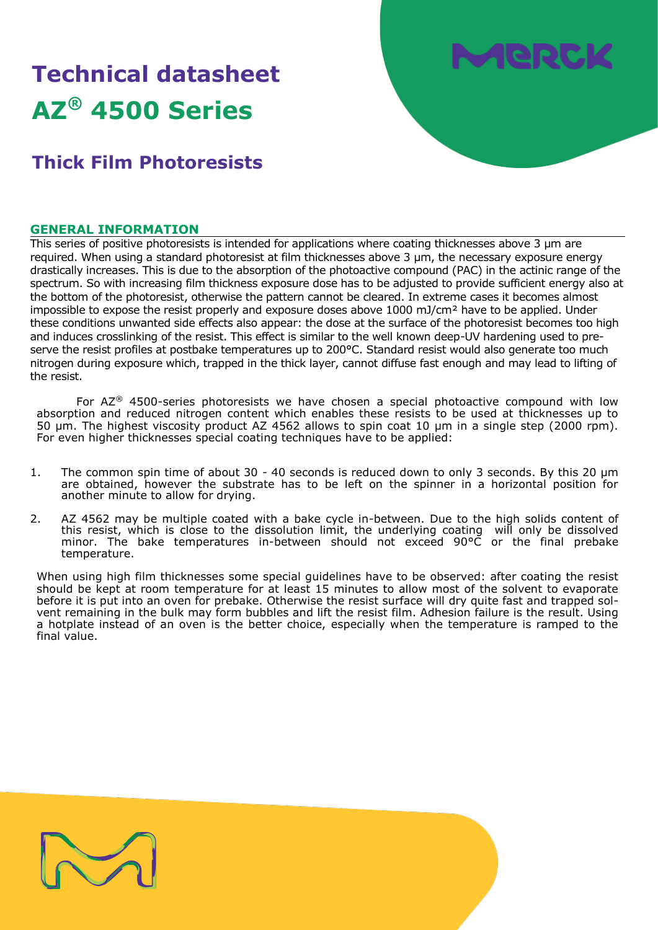# **Technical datasheet AZ® 4500 Series**

## **Thick Film Photoresists**

#### **GENERAL INFORMATION**

This series of positive photoresists is intended for applications where coating thicknesses above 3 µm are required. When using a standard photoresist at film thicknesses above 3 µm, the necessary exposure energy drastically increases. This is due to the absorption of the photoactive compound (PAC) in the actinic range of the spectrum. So with increasing film thickness exposure dose has to be adjusted to provide sufficient energy also at the bottom of the photoresist, otherwise the pattern cannot be cleared. In extreme cases it becomes almost impossible to expose the resist properly and exposure doses above 1000 mJ/cm<sup>2</sup> have to be applied. Under these conditions unwanted side effects also appear: the dose at the surface of the photoresist becomes too high and induces crosslinking of the resist. This effect is similar to the well known deep-UV hardening used to preserve the resist profiles at postbake temperatures up to 200°C. Standard resist would also generate too much nitrogen during exposure which, trapped in the thick layer, cannot diffuse fast enough and may lead to lifting of the resist.

For  $AZ^{\circledast}$  4500-series photoresists we have chosen a special photoactive compound with low absorption and reduced nitrogen content which enables these resists to be used at thicknesses up to 50 µm. The highest viscosity product AZ 4562 allows to spin coat 10 µm in a single step (2000 rpm). For even higher thicknesses special coating techniques have to be applied:

- 1. The common spin time of about 30 40 seconds is reduced down to only 3 seconds. By this 20  $\mu$ m are obtained, however the substrate has to be left on the spinner in a horizontal position for another minute to allow for drying.
- 2. AZ 4562 may be multiple coated with a bake cycle in-between. Due to the high solids content of this resist, which is close to the dissolution limit, the underlying coating will only be dissolved minor. The bake temperatures in-between should not exceed 90°C or the final prebake temperature.

When using high film thicknesses some special guidelines have to be observed: after coating the resist should be kept at room temperature for at least 15 minutes to allow most of the solvent to evaporate before it is put into an oven for prebake. Otherwise the resist surface will dry quite fast and trapped solvent remaining in the bulk may form bubbles and lift the resist film. Adhesion failure is the result. Using a hotplate instead of an oven is the better choice, especially when the temperature is ramped to the final value.

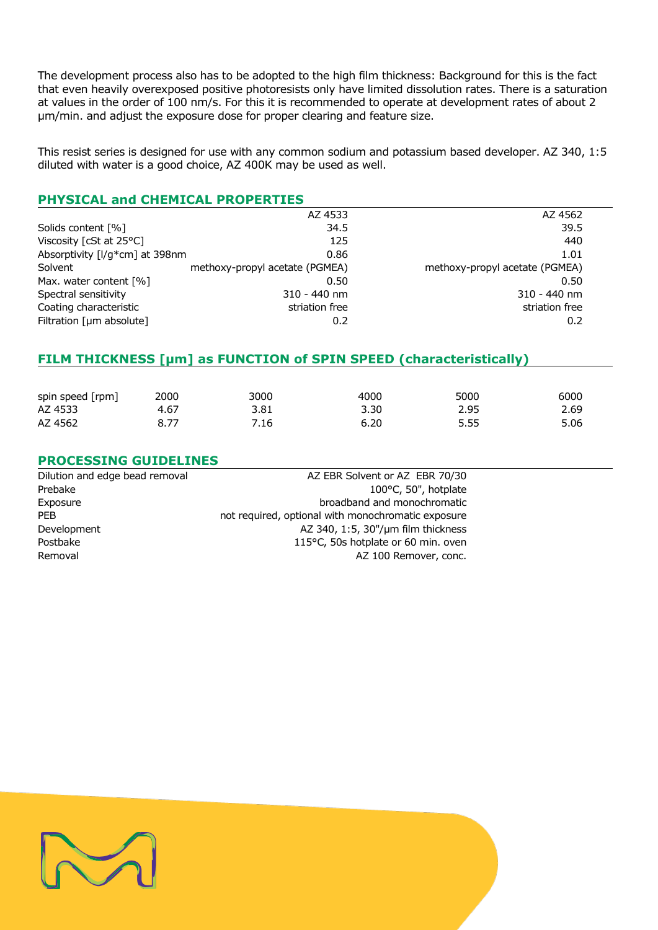The development process also has to be adopted to the high film thickness: Background for this is the fact that even heavily overexposed positive photoresists only have limited dissolution rates. There is a saturation at values in the order of 100 nm/s. For this it is recommended to operate at development rates of about 2 µm/min. and adjust the exposure dose for proper clearing and feature size.

This resist series is designed for use with any common sodium and potassium based developer. AZ 340, 1:5 diluted with water is a good choice, AZ 400K may be used as well.

#### **PHYSICAL and CHEMICAL PROPERTIES**

|                                   | AZ 4533                        | AZ 4562                        |
|-----------------------------------|--------------------------------|--------------------------------|
| Solids content [%]                | 34.5                           | 39.5                           |
| Viscosity [cSt at $25^{\circ}$ C] | 125                            | 440                            |
| Absorptivity [I/g*cm] at 398nm    | 0.86                           | 1.01                           |
| Solvent                           | methoxy-propyl acetate (PGMEA) | methoxy-propyl acetate (PGMEA) |
| Max. water content [%]            | 0.50                           | 0.50                           |
| Spectral sensitivity              | $310 - 440$ nm                 | $310 - 440$ nm                 |
| Coating characteristic            | striation free                 | striation free                 |
| Filtration $[µm$ absolute]        | 0.2                            | 0.2                            |

#### **FILM THICKNESS [µm] as FUNCTION of SPIN SPEED (characteristically)**

| spin speed [rpm] | 2000 | 3000 | 4000 | 5000 | 6000 |
|------------------|------|------|------|------|------|
| AZ 4533          | 4.67 | 3.81 | 3.30 | 2.95 | 2.69 |
| AZ 4562          |      | 7.16 | 6.20 | 5.55 | 5.06 |

#### **PROCESSING GUIDELINES**

Dilution and edge bead removal and all the AZ EBR Solvent or AZ EBR 70/30 Prebake 100°C, 50", hotplate Exposure broadband and monochromatic PEB **PEB** not required, optional with monochromatic exposure Development AZ 340, 1:5, 30"/um film thickness Postbake 115°C, 50s hotplate or 60 min. oven Removal **AZ 100 Remover, conc.**